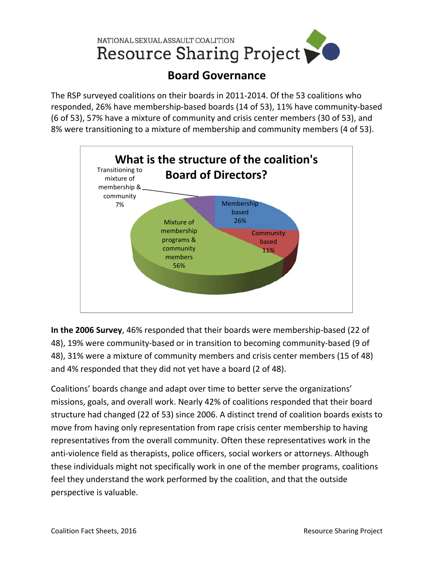

## **Board Governance**

The RSP surveyed coalitions on their boards in 2011‐2014. Of the 53 coalitions who responded, 26% have membership‐based boards (14 of 53), 11% have community‐based (6 of 53), 57% have a mixture of community and crisis center members (30 of 53), and 8% were transitioning to a mixture of membership and community members (4 of 53).



**In the 2006 Survey**, 46% responded that their boards were membership‐based (22 of 48), 19% were community-based or in transition to becoming community-based (9 of 48), 31% were a mixture of community members and crisis center members (15 of 48) and 4% responded that they did not yet have a board (2 of 48).

Coalitions' boards change and adapt over time to better serve the organizations' missions, goals, and overall work. Nearly 42% of coalitions responded that their board structure had changed (22 of 53) since 2006. A distinct trend of coalition boards exists to move from having only representation from rape crisis center membership to having representatives from the overall community. Often these representatives work in the anti-violence field as therapists, police officers, social workers or attorneys. Although these individuals might not specifically work in one of the member programs, coalitions feel they understand the work performed by the coalition, and that the outside perspective is valuable.